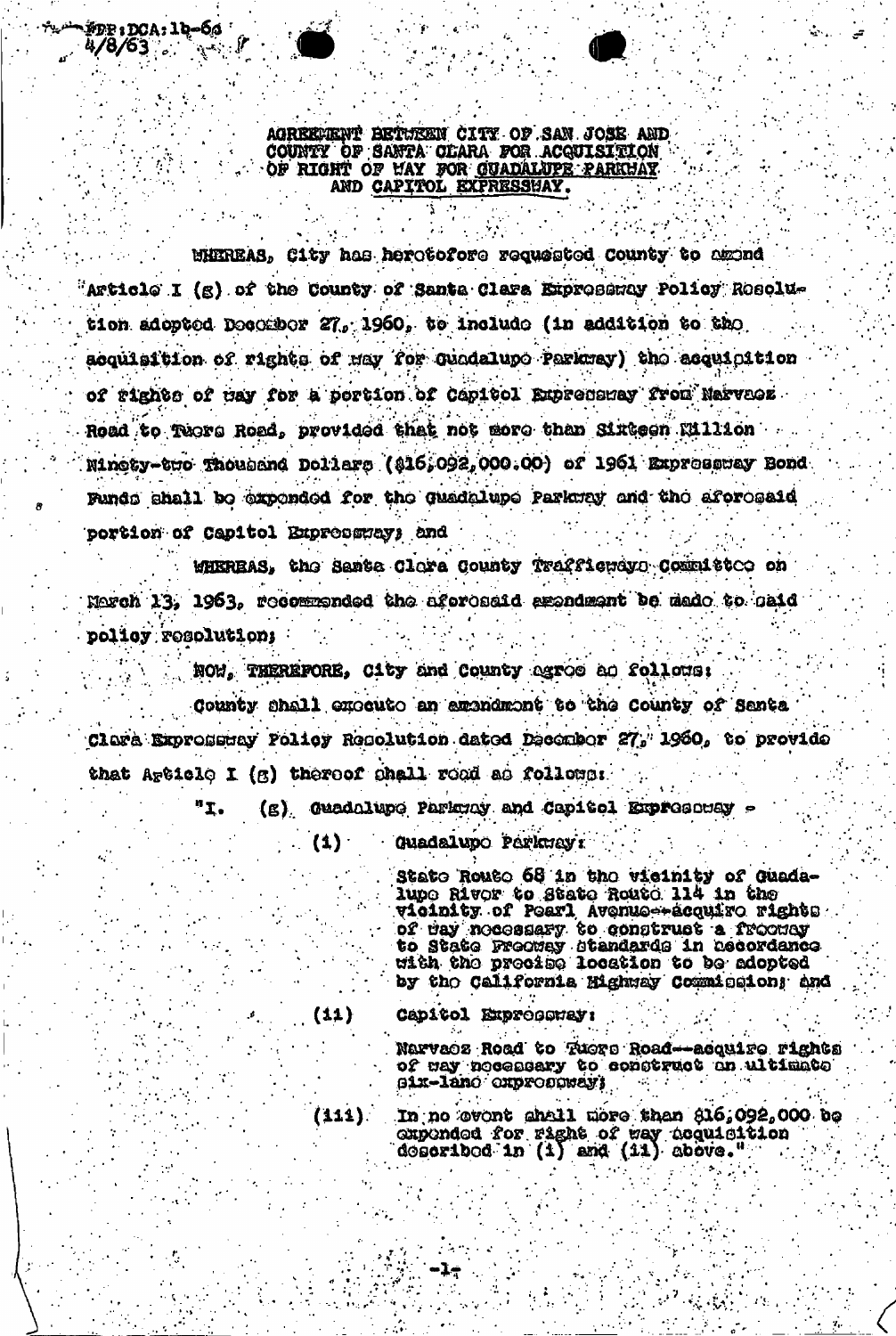AGREEVENT BETUEEN CITY OF SAN JOSE AND COUNTY OF SANTA OLARA FOR ACQUISITION OF RIGHT OF MAY FOR GUADALUPE PARKHAY

`#DP : DCA : 1d-ба \*  $4/8/63$ 

MHIREAS, City has herotofore requested County to amond "Article I (g) of the County of Santa Clara Expresency Policy Rosolution adopted Docombor 27, 1960, to include (in addition to the acquisition of rights of may for Guadalupo Parkway) the acquisition of rights of may for a portion of Capitol Expresency from Narvacz. Road to Tuors Road, provided that not more than Sixteen Million Minety-two Thousand Dollars (816,092,000.00) of 1961 Expressway Bond Funds shall be expended for the quadalupe Parkway and the aforesaid portion of Capitol Expressway; and

WHEREAS. the Santa Clora County Trafficuous Committee on March 13, 1963, recommended the aforosaid amendment be made to caid policy resolution:

NOW, THEREFORE, City and County agroe ao follows:

County shall execute an amendment to the County of Santa Clare Expressery Policy Resolution dated December 27, 1960, to provide that Article I (g) thereof shall read as follows:

> (g) Guadalupo Parkway and Capitol Expressuey "I.

> > **Guadalupo Porkuay:** (1) ·

> > > State Route 68 in the vicinity of Guadalupo Rivor to Stato Routo 114 in the vicinity of Poarl Avenue-Acquiro rights of day nocessary to construct a froomey<br>to State Preomey standards in necordance<br>with the preoise location to be adopted by tho California Mighway Commission; and

 $(11)$ 

Capitol Exproperay:

Narvaoz Road to Tuoro Road-acquire rights of may necessary to construct an ultimate Six-land oxpropower;

In no ovent ghall more than \$16,092,000 be  $(111)$ . cupended for right of way acquisition<br>described in (i) and (ii) above."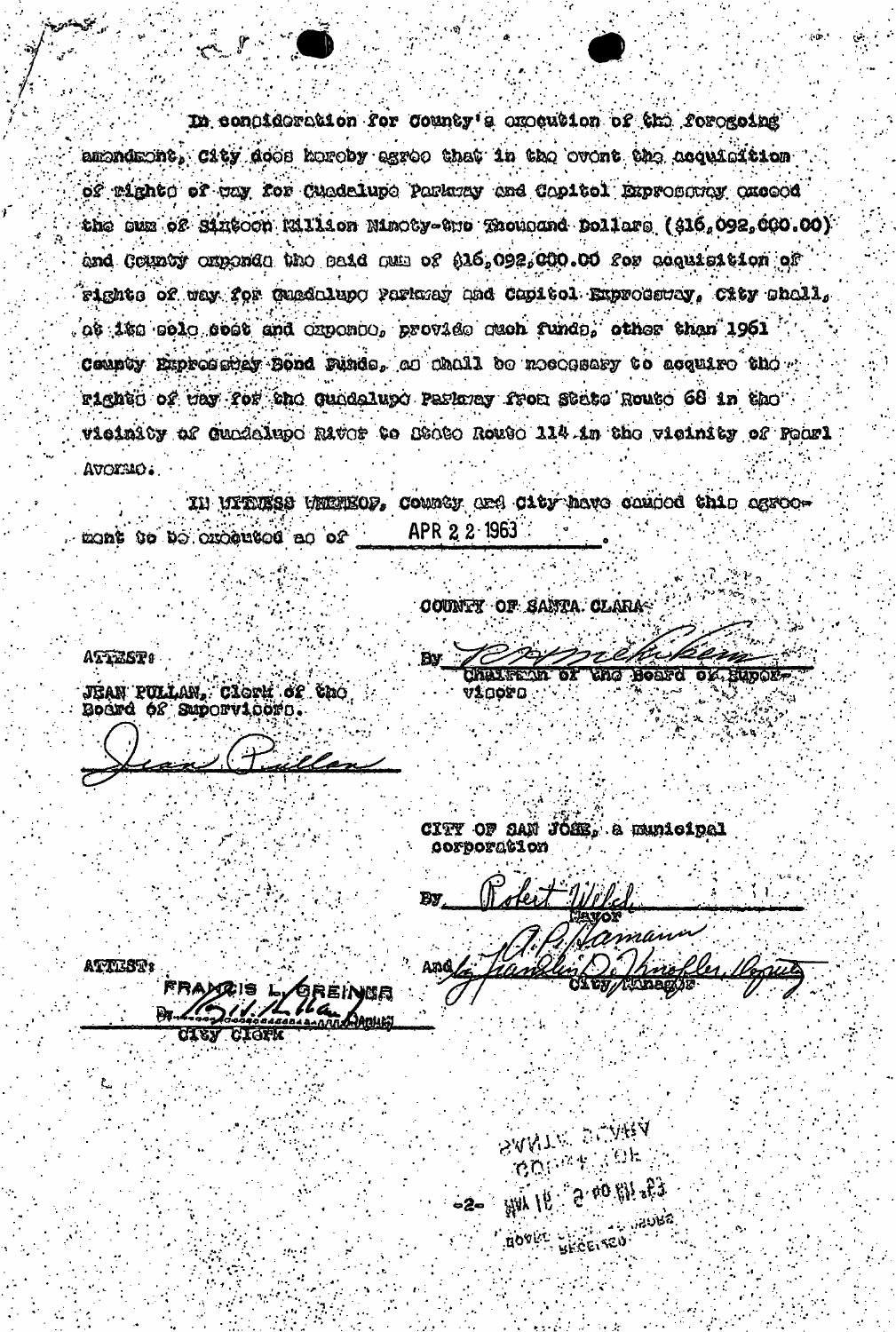In condideration for County's execution of the foregoing amondront, City doop horoby agree that in the ovent the acquisition of rights of way for Cuadelupe Parkway and Capitol Expressing acceed the sum of Sintoch Rillion Ninoty-the Thousand Dollars (\$16,092,000.00) and County amonds the said am of \$16,092,000.00 for acquisition of Fights of way for Guadolupo Parksay and Capitol Exproductor, City Shall, ot 1to solo opet and oxponso, provide such funds, other than 1961 County Expression Bond Punds, a Chall be necessary to acquire the " right of tay for the Gundalupe Parkney from State Route 68 in the vieinity of Gundalupo Rivor to Stoto Routo 114 in the vieinity of Pearl AVOISIO.

County and City have canded this agree-IN UITUESS UNIVEOP. APR 2 2 1963 home to be creatured ao of

COUNTY OF SANTA CLARA

ATTEST:

فيخيبخص

JÍAN PULLAN, CIGTH OF CRO.<br>ROGFG ÓS SEPOTVIOGTO.

illes

**Tha Board of Bupor-UI 1020** 

つでやん

CITY OF SAN JOSE. & municipal OOFDOFACLOI

> **SANTA PLARA BOOK ALL OK**

For 18 to 19 apr 19

**BOVIL WAGEIRED** 

Totest Welc aman And.

ATTEST:

GREINBR Fardis **CIGFK**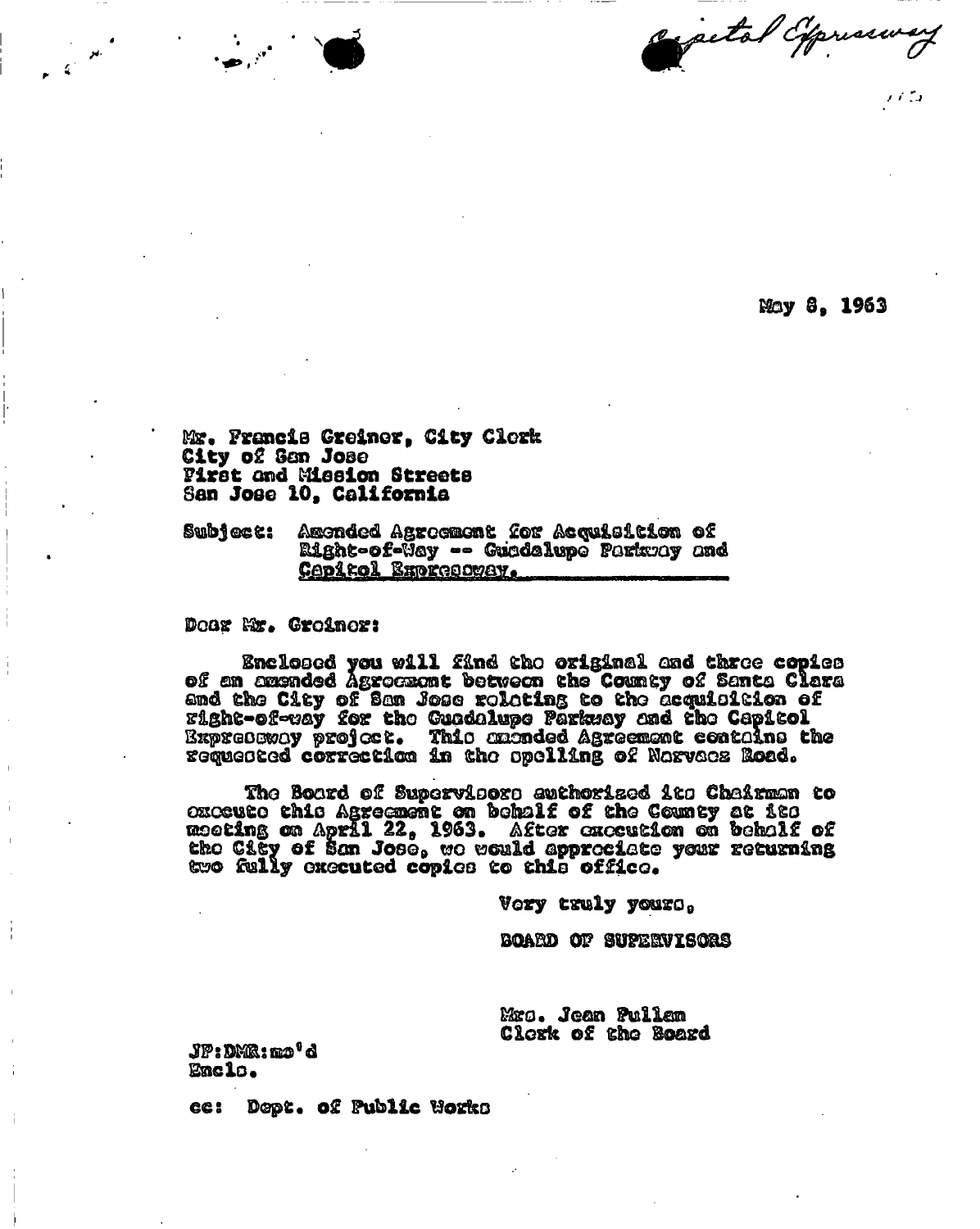expetat Oppresses

May 8. 1963

Mr. Francis Greiner, City Clerk City of Sen Jose Pirst and Mission Streets San Jose 10, California

Amended Agreement for Acquisition of Subject: Right-of-Way -- Guadalupo Parkway and Capitol Expressway.

Doox Mr. Groinor:

Enclosed you will find the original and three copies<br>ers and the County of Santa Clara and the county of Santa Clara and the City of San Jose rolating to the acquisition of Eight-of-way for the Cundalupe Parkway and the Capitol Expressway project. This animated Agreement contains the<br>Expressway project. This animated Agreement contains the<br>requested correction in the spelling of Narvacz Road.

The Board of Supervisors euthorized its Chairman to oxocuto this Agreement on behalf of the County at its the City of San Jose, we would approciate your returning two fully executed copies to this office.

Vory truly yours,

BOARD OF SUPERVISORS

Mrs. Jean Pullen Clerk of the Board

JP:DMR:mo'd Enclo.

ce: Dept. of Public Works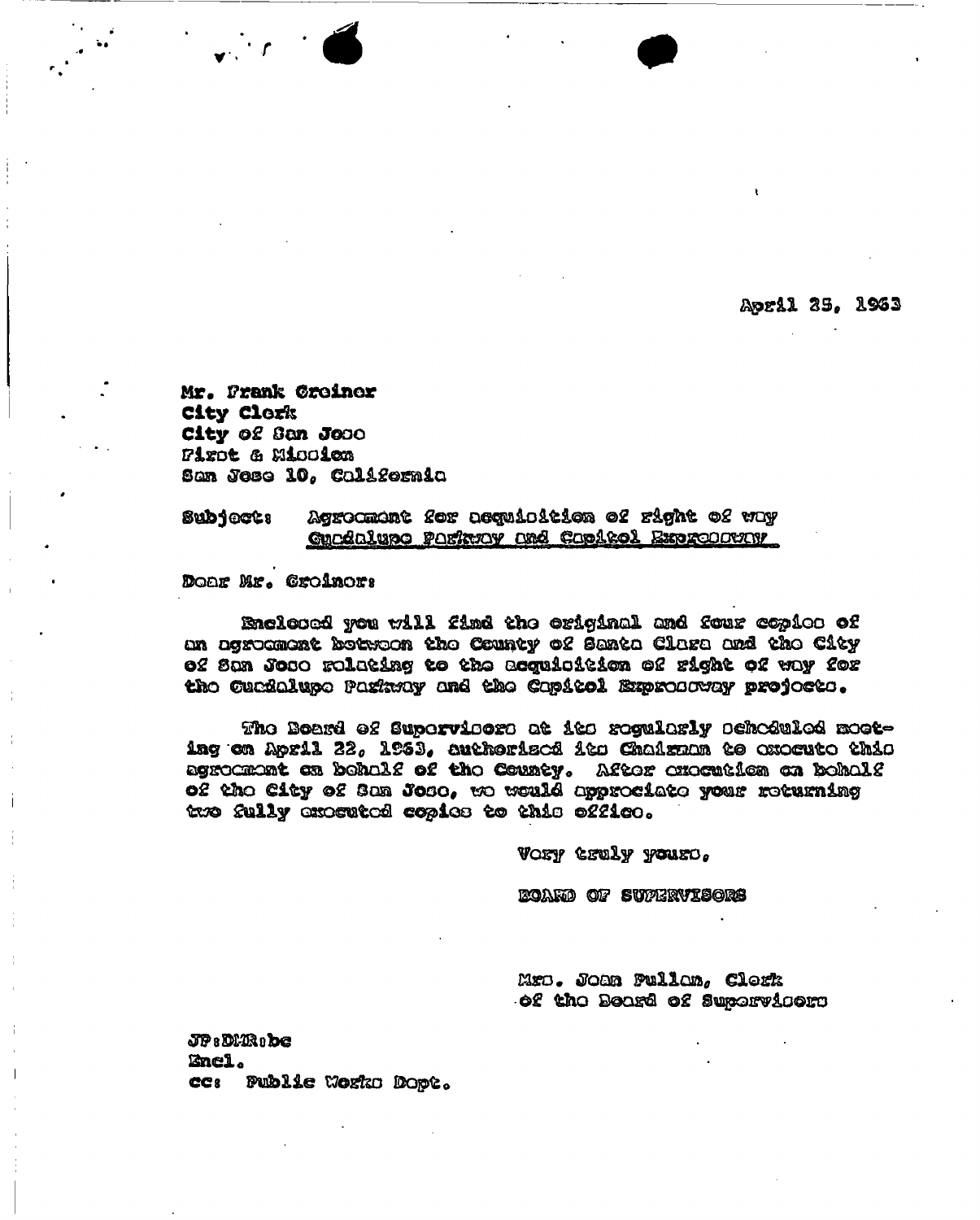April 35, 1963

Mr. Frank Creiner City Clork City of San Jose First & Miccion San Jose 10, California

## Agrocment for acquioition of right of way Sub1ect: Curdaluno Parkway and Capitol Expreserver

Doar Mr. Croinor:

Enclosed you will find the original and four copies of an agroomont botwoon the County of Santa Clara and the City 02 San Joao rolating to the acquioition of right of way for the Cuedalupe Pagkway and the Capitol Expresovay project.

The Board of Supervisors at its regularly scheduled mosting on April 22, 1953, authorised its Chairnan to execute this agrocmont on beholf of the County. After enemtion on beholf of the City of San Jose, we would approciate your returning two fully executed copies to this office.

VORY CRULY YOURS.

**EOARD OF SUPERVISORS** 

Mro. Joan Pullon, Clork of the Board of Supervicera

 $JPR$   $DMR$   $DQ$ Encl. ce: Publie Works Dopt.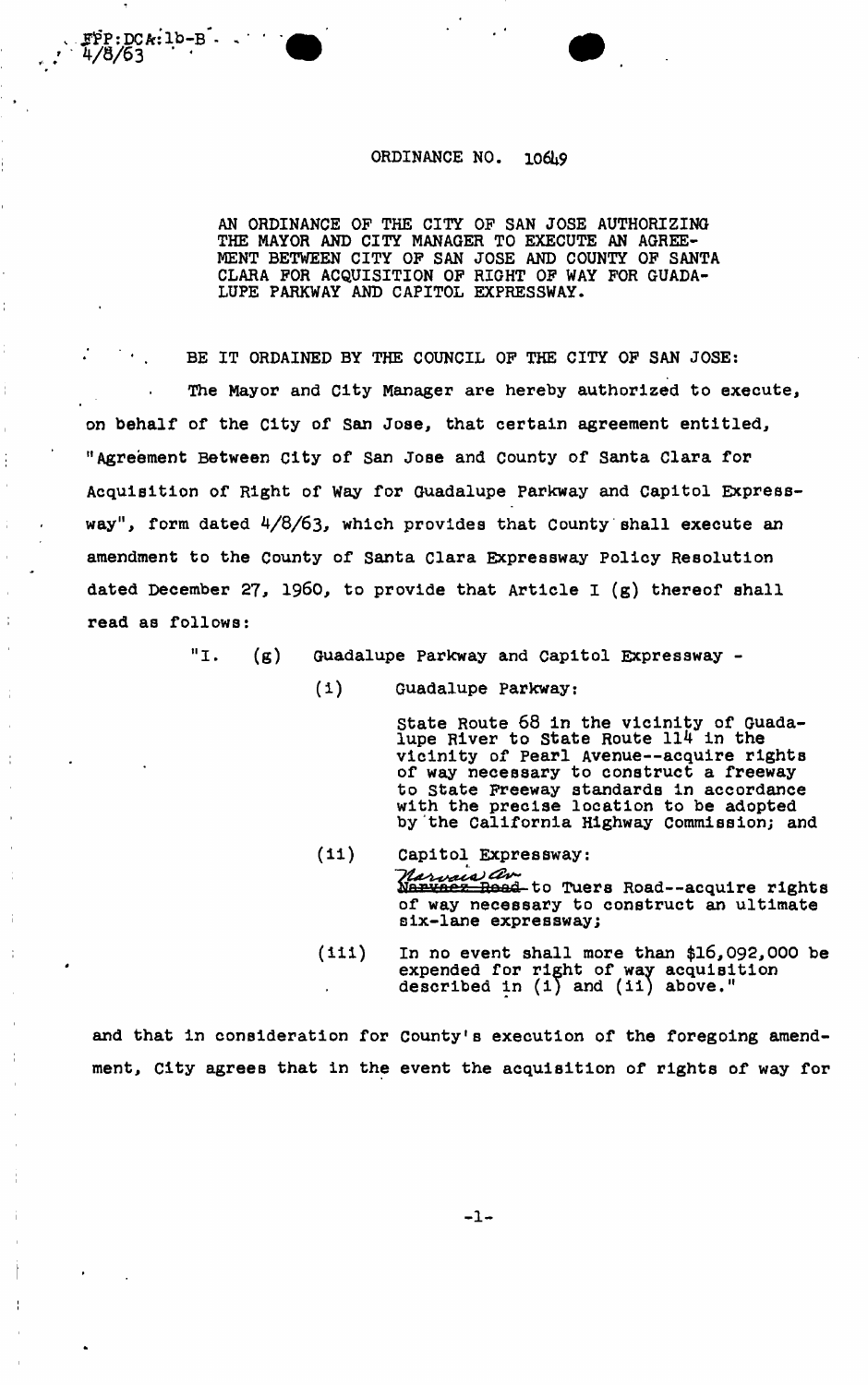## ORDINANCE NO. 106h9

 $FP:DCA:1b-B$  -

4/8/63

AN ORDINANCE OF THE CITY OF SAN JOSE AUTHORIZING THE MAYOR AND CITY MANAGER TO EXECUTE AN AGREE-MENT BETWEEN CITY OF SAN JOSE AND COUNTY OF SANTA CLARA FOR ACQUISITION OF RIGHT OF WAY FOR GUADA-LUPE PARKWAY AND CAPITOL EXPRESSWAY.

BE IT ORDAINED BY THE COUNCIL OF THE CITY OF SAN JOSE: The Mayor and City Manager are hereby authorized to execute, on behalf of the City of San Jose, that certain agreement entitled, "Agreement Between City of San Jose and County of Santa Clara for Acquisition of Right of Way for Guadalupe Parkway and Capitol Expressway", form dated 4/8/63, which provides that County shall execute an amendment to the County of Santa Clara Expressway Policy Resolution dated December 27, i960, to provide that Article I (g) thereof shall read as follows:

"I. (g) Guadalupe Parkway and Capitol Expressway -

(i) Guadalupe Parkway:

State Route 68 in the vicinity of Guadalupe River to State Route 114 in the vicinity of Pearl Avenue—acquire rights of way necessary to construct a freeway to State Freeway standards in accordance with the precise location to be adopted by the California Highway Commission; and

- (ii) Capitol Expressway: *Harvaia av.*<br>Narvaez Road to Tuers Road--acquire rights of way necessary to construct an ultimate six-lane expressway;
- (iii) In no event shall more than \$16,092,000 be expended for right of way acquisition described in  $(1)$  and  $(11)$  above."

and that in consideration for County's execution of the foregoing amendment, City agrees that in the event the acquisition of rights of way for

 $-1 -$